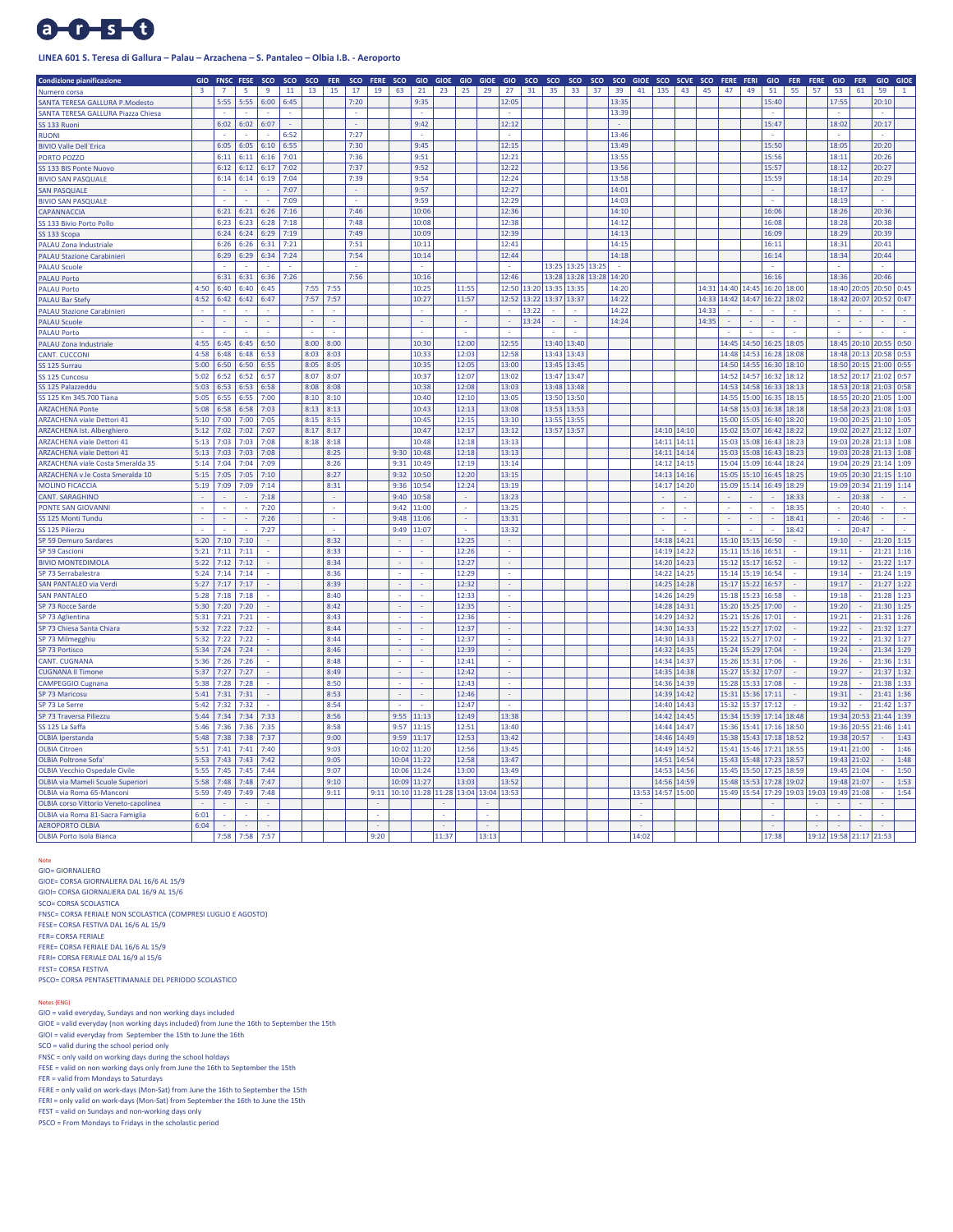# $0 - 5 - 0$

## **LINEA 601 S. Teresa di Gallura – Palau – Arzachena – S. Pantaleo – Olbia I.B. - Aeroporto**

| <b>Condizione pianificazione</b>                                          | <b>GIO</b>     | FNSC FESE      |      | sco  | sco  | sco  | FER  | sco  | FERE SCO |        | GIO   | GIOE GIO GIOE                                       |        |       | GIO      | sco         | sco | sco                     | sco   | sco   | <b>GIOE</b> |             | SCO SCVE SCO      |                                       | FERE FERI         |             | GIO                           | <b>FER</b>              | FERE        | GIO                     | <b>FER</b> | GIO              | <b>GIOE</b> |
|---------------------------------------------------------------------------|----------------|----------------|------|------|------|------|------|------|----------|--------|-------|-----------------------------------------------------|--------|-------|----------|-------------|-----|-------------------------|-------|-------|-------------|-------------|-------------------|---------------------------------------|-------------------|-------------|-------------------------------|-------------------------|-------------|-------------------------|------------|------------------|-------------|
| Numero corsa                                                              | $\overline{3}$ | $\overline{7}$ | 5    | 9    | 11   | 13   | 15   | 17   | 19       | 63     | 21    | 23                                                  | 25     | 29    | 27       | 31          | 35  | 33                      | 37    | 39    | 41          | 135         | 43                | 45                                    | 47                | 49          | 51                            | 55                      | 57          | 53                      | 61         | 59               |             |
| SANTA TERESA GALLURA P.Modesto                                            |                | 5:55           | 5:55 | 6:00 | 6:45 |      |      | 7:20 |          |        | 9:35  |                                                     |        |       | 12:05    |             |     |                         |       | 13:35 |             |             |                   |                                       |                   |             | 15:40                         |                         |             | 17:55                   |            | 20:10            |             |
| SANTA TERESA GALLURA Piazza Chiesa                                        |                |                |      |      |      |      |      |      |          |        |       |                                                     |        |       |          |             |     |                         |       | 13:39 |             |             |                   |                                       |                   |             |                               |                         |             |                         |            |                  |             |
| SS 133 Ruoni                                                              |                | 6:02           | 6:02 | 6:07 |      |      |      |      |          |        | 9:42  |                                                     |        |       | 12:12    |             |     |                         |       |       |             |             |                   |                                       |                   |             | 15:47                         |                         |             | 18:02                   |            | 20:17            |             |
| <b>RUONI</b>                                                              |                |                |      |      | 6:52 |      |      | 7:27 |          |        |       |                                                     |        |       | ÷.       |             |     |                         |       | 13:46 |             |             |                   |                                       |                   |             | ×.                            |                         |             |                         |            | à.               |             |
| <b>BIVIO Valle Dell'Erica</b>                                             |                | 6:05           | 6:05 | 6:10 | 6:55 |      |      | 7:30 |          |        | 9:45  |                                                     |        |       | 12:15    |             |     |                         |       | 13:49 |             |             |                   |                                       |                   |             | 15:50                         |                         |             | 18:05                   |            | 20:20            |             |
| PORTO POZZO                                                               |                | 6:11           | 6:11 | 6:16 | 7:01 |      |      | 7:36 |          |        | 9:51  |                                                     |        |       | 12:21    |             |     |                         |       | 13:55 |             |             |                   |                                       |                   |             | 15:56                         |                         |             | 18:11                   |            | 20:26            |             |
| SS 133 BIS Ponte Nuovo                                                    |                | 6:12           | 6:12 | 6:17 | 7:02 |      |      | 7:37 |          |        | 9:52  |                                                     |        |       | 12:22    |             |     |                         |       | 13:56 |             |             |                   |                                       |                   |             | 15:57                         |                         |             | 18:12                   |            | 20:27            |             |
| <b>BIVIO SAN PASQUALE</b>                                                 |                | 6:14           | 6:14 | 6:19 | 7:04 |      |      | 7:39 |          |        | 9:54  |                                                     |        |       | 12:24    |             |     |                         |       | 13:58 |             |             |                   |                                       |                   |             | 15:59                         |                         |             | 18:14                   |            | 20:29            |             |
| SAN PASQUALE                                                              |                |                |      |      | 7:07 |      |      |      |          |        | 9:57  |                                                     |        |       | 12:27    |             |     |                         |       | 14:01 |             |             |                   |                                       |                   |             |                               |                         |             | 18:17                   |            |                  |             |
| <b>BIVIO SAN PASQUALE</b>                                                 |                |                |      |      | 7:09 |      |      |      |          |        | 9:59  |                                                     |        |       | 12:29    |             |     |                         |       | 14:03 |             |             |                   |                                       |                   |             |                               |                         |             | 18:19                   |            |                  |             |
| CAPANNACCIA                                                               |                | 6:21           | 6:21 | 6:26 | 7:16 |      |      | 7:46 |          |        | 10:06 |                                                     |        |       | 12:36    |             |     |                         |       | 14:10 |             |             |                   |                                       |                   |             | 16:06                         |                         |             | 18:26                   |            | 20:36            |             |
| SS 133 Bivio Porto Pollo                                                  |                | 6:23           | 6:23 | 6:28 | 7:18 |      |      | 7:48 |          |        | 10:08 |                                                     |        |       | 12:38    |             |     |                         |       | 14:12 |             |             |                   |                                       |                   |             | 16:08                         |                         |             | 18:28                   |            | 20:38            |             |
| SS 133 Scopa                                                              |                | 6:24           | 6:24 | 6:29 | 7:19 |      |      | 7:49 |          |        | 10:09 |                                                     |        |       | 12:39    |             |     |                         |       | 14:13 |             |             |                   |                                       |                   |             | 16:09                         |                         |             | 18:29                   |            | 20:39            |             |
| <b>PALAU Zona Industriale</b>                                             |                | 6:26           | 6:26 | 6:31 | 7:21 |      |      | 7:51 |          |        | 10:11 |                                                     |        |       | 12:41    |             |     |                         |       | 14:15 |             |             |                   |                                       |                   |             | 16:11                         |                         |             | 18:31                   |            | 20:41            |             |
| <b>PALAU Stazione Carabinieri</b>                                         |                | 6:29           | 6:29 | 6:34 | 7:24 |      |      | 7:54 |          |        | 10:14 |                                                     |        |       | 12:44    |             |     |                         |       | 14:18 |             |             |                   |                                       |                   |             | 16:14                         |                         |             | 18:34                   |            | 20:44            |             |
| PALAU Scuole                                                              |                |                |      |      |      |      |      |      |          |        |       |                                                     |        |       |          |             |     | 13:25 13:25 13:25       |       |       |             |             |                   |                                       |                   |             |                               |                         |             |                         |            |                  |             |
| <b>PALAU Porto</b>                                                        |                | 6:31           | 6:31 | 6:36 | 7:26 |      |      | 7:56 |          |        | 10:16 |                                                     |        |       | 12:46    |             |     | 13:28 13:28             | 13:28 | 14:20 |             |             |                   |                                       |                   |             | 16:16                         |                         |             | 18:36                   |            | 20:46            |             |
| <b>PALAU Porto</b>                                                        | 4:50           | 6:40           | 6:40 | 6:45 |      | 7:55 | 7:55 |      |          |        | 10:25 |                                                     | 11:55  |       | 12:50    | 13:20 13:35 |     | 13:35                   |       | 14:20 |             |             |                   | 14:31 14:40 14:45                     |                   |             | 16:20 18:00                   |                         |             | 18:40                   |            | 20:05 20:50      | 0:45        |
| <b>PALAU Bar Stefy</b>                                                    | 4:52           | 6:42           | 6:42 | 6:47 |      | 7:57 | 7:57 |      |          |        | 10:27 |                                                     | 11:57  |       |          |             |     | 12:52 13:22 13:37 13:37 |       | 14:22 |             |             |                   | 14:33   14:42   14:47   16:22   18:02 |                   |             |                               |                         |             | 18:42                   |            | 20:07 20:52 0:47 |             |
| <b>PALAU Stazione Carabinieri</b>                                         |                |                |      |      |      |      |      |      |          |        |       |                                                     | ×      |       | ÷.       | 13:22       |     |                         |       | 14:22 |             |             |                   | 14:33                                 |                   |             |                               |                         |             |                         |            |                  |             |
| <b>PALAU Scuole</b>                                                       |                |                |      |      |      |      | ÷.   |      |          |        |       |                                                     | $\sim$ |       | ä,       | 13:24       |     |                         |       | 14:24 |             |             |                   | 14:35                                 |                   |             |                               | ÷.                      |             |                         |            |                  |             |
| <b>PALAU Porto</b>                                                        |                |                |      |      |      |      |      |      |          |        |       |                                                     |        |       |          |             |     |                         |       |       |             |             |                   |                                       |                   |             |                               |                         |             |                         |            |                  |             |
| <b>PALAU Zona Industriale</b>                                             | 4:55           | 6:45           | 6:45 | 6:50 |      | 8:00 | 8:00 |      |          |        | 10:30 |                                                     | 12:00  |       | 12:55    |             |     | 13:40 13:40             |       |       |             |             |                   |                                       |                   |             | 14:45   14:50   16:25   18:05 |                         |             | 18:45                   |            | 20:10 20:55 0:50 |             |
| CANT. CUCCONI                                                             | 4:58           | 6:48           | 6:48 | 6:53 |      | 8:03 | 8:03 |      |          |        | 10:33 |                                                     | 12:03  |       | 12:58    |             |     | 13:43 13:43             |       |       |             |             |                   |                                       | 14:48             | 14:53       | 16:28 18:08                   |                         |             | 18:48                   |            | 20:13 20:58 0:53 |             |
| SS 125 Surrau                                                             | 5:00           | 6:50           | 6:50 | 6:55 |      | 8:05 | 8:05 |      |          |        | 10:35 |                                                     | 12:05  |       | 13:00    |             |     | 13:45 13:45             |       |       |             |             |                   |                                       | 14:50             |             | 14:55 16:30 18:10             |                         |             | 18:50                   |            | 20:15 21:00 0:55 |             |
| SS 125 Cuncosu                                                            | 5:02           | 6:52           | 6:52 | 6:57 |      | 8:07 | 8:07 |      |          |        | 10:37 |                                                     | 12:07  |       | 13:02    |             |     | 13:47 13:47             |       |       |             |             |                   |                                       | 14:52             |             | 14:57 16:32 18:12             |                         |             | 18:52                   |            | 20:17 21:02 0:57 |             |
| SS 125 Palazzeddu                                                         | 5:03           | 6:53           | 6:53 | 6:58 |      | 8:08 | 8:08 |      |          |        | 10:38 |                                                     | 12:08  |       | 13:03    |             |     | 13:48 13:48             |       |       |             |             |                   |                                       | 14:53             |             | 14:58 16:33 18:13             |                         |             | 18:53                   |            | 20:18 21:03 0:58 |             |
| SS 125 Km 345.700 Tiana                                                   | 5:05           | 6:55           | 6:55 | 7:00 |      | 8:10 | 8:10 |      |          |        | 10:40 |                                                     | 12:10  |       | 13:05    |             |     | 13:50 13:50             |       |       |             |             |                   |                                       | 14:55             | 15:00       | 16:35 18:15                   |                         |             | 18:55                   |            | 20:20 21:05      | 1:00        |
| <b>ARZACHENA Ponte</b>                                                    | 5:08           | 6:58           | 6:58 | 7:03 |      | 8:13 | 8:13 |      |          |        | 10:43 |                                                     | 12:13  |       | 13:08    |             |     | 13:53 13:53             |       |       |             |             |                   |                                       | 14:58 15:03       |             | 16:38 18:18                   |                         |             | 18:58                   |            | 20:23 21:08 1:03 |             |
| <b>ARZACHENA viale Dettori 41</b>                                         | 5:10           | 7:00           | 7:00 | 7:05 |      | 8:15 | 8:15 |      |          |        | 10:45 |                                                     | 12:15  |       | 13:10    |             |     | 13:55 13:55             |       |       |             |             |                   |                                       | 15:00             | 15:05       | 16:40 18:20                   |                         |             | 19:00                   |            | 20:25 21:10 1:05 |             |
| <b>ARZACHENA Ist. Alberghiero</b>                                         | 5:12           | 7:02           | 7:02 | 7:07 |      | 8:17 | 8:17 |      |          |        | 10:47 |                                                     | 12:17  |       | 13:12    |             |     | 13:57 13:57             |       |       |             |             | 14:10 14:10       |                                       | 15:02             | 15:07       | 16:42 18:22                   |                         |             | 19:02                   |            | 20:27 21:12 1:07 |             |
| <b>ARZACHENA viale Dettori 41</b>                                         | 5:13           | 7:03           | 7:03 | 7:08 |      | 8:18 | 8:18 |      |          |        | 10:48 |                                                     | 12:18  |       | 13:13    |             |     |                         |       |       |             | 14:11       | 14:11             |                                       | 15:03             | 15:08       | 16:43                         | 18:25                   |             | 19:03                   |            | 20:28 21:13      | 1:08        |
| <b>ARZACHENA viale Dettori 41</b>                                         | 5:13           | 7:03           | 7:03 | 7:08 |      |      | 8:25 |      |          | 9:30   | 10:48 |                                                     | 12:18  |       | 13:13    |             |     |                         |       |       |             | 14:11       | 14:14             |                                       | 15:03             | 15:08       | 16:43                         | 18:25                   |             | 19:03                   |            | 20:28 21:13      | 1:08        |
| <b>ARZACHENA viale Costa Smeralda 35</b>                                  | 5:14           | 7:04           | 7:04 | 7:09 |      |      | 8:26 |      |          | 9:31   | 10:49 |                                                     | 12:19  |       | 13:14    |             |     |                         |       |       |             |             | 14:12 14:15       |                                       | 15:04             | 15:09       | 16:44 18:24                   |                         |             | 19:04                   |            | 20:29 21:14      | 1:09        |
| ARZACHENA v.le Costa Smeralda 10                                          | 5:15           | 7:05           | 7:05 | 7:10 |      |      | 8:27 |      |          | 9:32   | 10:50 |                                                     | 12:20  |       | 13:15    |             |     |                         |       |       |             |             | 14:13 14:16       |                                       | 15:05             |             | 15:10 16:45 18:25             |                         |             | 19:05                   |            | 20:30 21:15 1:10 |             |
| <b>MOLINO FICACCIA</b>                                                    | 5:19           | 7:09           | 7:09 | 7:14 |      |      | 8:31 |      |          | 9:36   | 10:54 |                                                     | 12:24  |       | 13:19    |             |     |                         |       |       |             |             | 14:17 14:20       |                                       | 15:09             |             | 15:14 16:49 18:29             |                         |             | 19:09                   |            | 20:34 21:19 1:14 |             |
| <b>CANT. SARAGHINC</b>                                                    |                |                |      | 7:18 |      |      |      |      |          | 9:40   | 10:58 |                                                     | ÷.     |       | 13:23    |             |     |                         |       |       |             |             |                   |                                       |                   |             |                               | 18:33                   |             |                         | 20:38      |                  |             |
| PONTE SAN GIOVANNI                                                        | ÷              |                |      | 7:20 |      |      | in 1 |      |          | 9:42   | 11:00 |                                                     | ÷.     |       | 13:25    |             |     |                         |       |       |             |             |                   |                                       |                   |             |                               | 18:35                   |             |                         | 20:40      |                  | ÷.          |
| SS 125 Monti Tundu                                                        |                |                |      | 7:26 |      |      |      |      |          | 9:48   | 11:06 |                                                     |        |       | 13:31    |             |     |                         |       |       |             |             |                   |                                       |                   |             |                               | 18:41                   |             |                         | 20:46      |                  |             |
| SS 125 Pilierzu                                                           |                |                |      | 7:27 |      |      |      |      |          | 9:49   | 11:07 |                                                     |        |       | 13:32    |             |     |                         |       |       |             |             |                   |                                       |                   |             |                               | 18:47                   |             |                         | 20:47      |                  |             |
| SP 59 Demuro Sardares                                                     | 5:20           | 7:10           | 7:10 |      |      |      | 8:32 |      |          |        |       |                                                     | 12:25  |       |          |             |     |                         |       |       |             | 14:18 14:21 |                   |                                       | 15:10 15:15 16:50 |             |                               |                         |             | 19:10                   |            | 21:20 1:15       |             |
| SP 59 Cascioni                                                            | 5:21           | 7:11           | 7:11 |      |      |      | 8:33 |      |          |        |       |                                                     | 12:26  |       | $\sim$   |             |     |                         |       |       |             | 14:19 14:22 |                   |                                       | 15:11 15:16 16:51 |             |                               | ×                       |             | 19:11                   |            | 21:21            | 1:16        |
| <b>BIVIO MONTEDIMOLA</b>                                                  | 5:22           | 7:12           | 7:12 |      |      |      | 8:34 |      |          |        |       |                                                     | 12:27  |       | $\omega$ |             |     |                         |       |       |             | 14:20 14:23 |                   |                                       | 15:12 15:17 16:52 |             |                               |                         |             | 19:12                   |            | 21:22            | 1:17        |
| SP 73 Serrabalestra                                                       | 5:24           | 7:14           | 7:14 |      |      |      | 8:36 |      |          |        |       |                                                     | 12:29  |       |          |             |     |                         |       |       |             | 14:22       | 14:25             |                                       | 15:14 15:19 16:54 |             |                               |                         |             | 19:14                   |            | 21:24            | 1:19        |
| SAN PANTALEO via Verdi                                                    | 5:27           | 7:17           | 7:17 |      |      |      | 8:39 |      |          |        |       |                                                     | 12:32  |       | ÷.       |             |     |                         |       |       |             | 14:25 14:28 |                   |                                       | 15:17 15:22 16:57 |             |                               |                         |             | 19:17                   |            | 21:27 1:22       |             |
| <b>SAN PANTALEO</b>                                                       | 5:28           | 7:18           | 7:18 |      |      |      | 8:40 |      |          |        |       |                                                     | 12:33  |       | ÷        |             |     |                         |       |       |             |             | 14:26 14:29       |                                       | 15:18             |             | 15:23 16:58                   |                         |             | 19:18                   |            | 21:28 1:23       |             |
| <b>SP 73 Rocce Sarde</b>                                                  | 5:30           | 7:20           | 7:20 |      |      |      | 8:42 |      |          |        |       |                                                     | 12:35  |       |          |             |     |                         |       |       |             | 14:28       | 14:31             |                                       | 15:20             | 15:25       | 17:00                         |                         |             | 19:20                   |            | 21:30            | 1:25        |
| SP 73 Aglientina                                                          | 5:31           | 7:21           | 7:21 |      |      |      | 8:43 |      |          |        |       |                                                     | 12:36  |       |          |             |     |                         |       |       |             |             | 14:29 14:32       |                                       | 15:21             |             | 15:26 17:01                   |                         |             | 19:21                   |            | 21:31            | 1:26        |
| SP 73 Chiesa Santa Chiara                                                 | 5:32           | 7:22           | 7:22 |      |      |      | 8:44 |      |          |        |       |                                                     | 12:37  |       |          |             |     |                         |       |       |             |             | 14:30 14:33       |                                       | 15:22             |             | 15:27 17:02                   |                         |             | 19:22                   |            | 21:32            | 1:27        |
| SP 73 Milmegghiu                                                          | 5:32           | 7:22           | 7:22 |      |      |      | 8:44 |      |          |        |       |                                                     | 12:37  |       | $\sim$   |             |     |                         |       |       |             | 14:30 14:33 |                   |                                       | 15:22             | 15:27 17:02 |                               |                         |             | 19:22                   |            | 21:32            | 1:27        |
| SP 73 Portisco                                                            | 5:34           | 7:24           | 7:24 | ÷.   |      |      | 8:46 |      |          | $\sim$ |       |                                                     | 12:39  |       | $\omega$ |             |     |                         |       |       |             |             | 14:32 14:35       |                                       | 15:24 15:29 17:04 |             |                               | ÷.                      |             | 19:24                   |            | 21:34 1:29       |             |
| <b>CANT. CUGNANA</b>                                                      | 5:36           | 7:26           | 7:26 |      |      |      | 8:48 |      |          |        |       |                                                     | 12:41  |       | à.       |             |     |                         |       |       |             |             | 14:34 14:37       |                                       | 15:26 15:31 17:06 |             |                               |                         |             | 19:26                   |            | 21:36 1:31       |             |
| <b>CUGNANA Il Timone</b>                                                  | 5:37           | 7:27           | 7:27 |      |      |      | 8:49 |      |          |        |       |                                                     | 12:42  |       | ÷        |             |     |                         |       |       |             |             | 14:35 14:38       |                                       | 15:27 15:32 17:07 |             |                               |                         |             | 19:27                   |            | 21:37 1:32       |             |
| <b>CAMPEGGIO Cugnana</b>                                                  | 5:38           | 7:28           | 7:28 |      |      |      | 8:50 |      |          |        |       |                                                     | 12:43  |       |          |             |     |                         |       |       |             |             | 14:36 14:39       |                                       | 15:28             |             | 15:33 17:08                   |                         |             | 19:28                   |            | 21:38 1:33       |             |
| SP 73 Maricosu                                                            | 5:41           | 7:31           | 7:31 |      |      |      | 8:53 |      |          |        |       |                                                     | 12:46  |       |          |             |     |                         |       |       |             | 14:39       | 14:42             |                                       | 15:31             |             | 15:36 17:11                   |                         |             | 19:31                   |            | 21:41            | 1:36        |
| SP 73 Le Serre                                                            | 5:42           | 7:32           | 7:32 |      |      |      | 8:54 |      |          |        |       |                                                     | 12:47  |       |          |             |     |                         |       |       |             |             | 14:40 14:43       |                                       | 15:32             |             | 15:37 17:12                   |                         |             | 19:32                   |            | 21:42            | 1:37        |
| SP 73 Traversa Piliezzu                                                   | $5 - AA$       | 7:34           | 7:34 | 7:33 |      |      | 8:56 |      |          | 9:55   | 11:13 |                                                     | 12:49  |       | 13:38    |             |     |                         |       |       |             |             | 14:42 14:45       |                                       |                   |             | 15:34 15:39 17:14 18:48       |                         |             | 19:34                   |            | 20:53 21:44      | 1:39        |
| SS 125 La Saffa                                                           | 5:46           | 7:36           | 7:36 | 7:35 |      |      | 8:58 |      |          | 9:57   | 11:15 |                                                     | 12:51  |       | 13:40    |             |     |                         |       |       |             | 14:44       | 14:47             |                                       | 15:36             |             | 15:41 17:16 18:50             |                         |             | 19:36                   |            | 20:55 21:46      | 1:41        |
| <b>OLBIA Iperstanda</b>                                                   | 5:48           | 7:38           | 7:38 | 7:37 |      |      | 9:00 |      |          | 9:59   | 11:17 |                                                     | 12:53  |       | 13:42    |             |     |                         |       |       |             |             | 14:46 14:49       |                                       | 15:38             | 15:43       | 17:18 18:52                   |                         |             | 19:38                   | 20:57      |                  | 1:43        |
| <b>OLBIA Citroen</b>                                                      | 5:51           | 7:41           | 7:41 | 7:40 |      |      | 9:03 |      |          | 10:02  | 11:20 |                                                     | 12:56  |       | 13:45    |             |     |                         |       |       |             |             | 14:49 14:52       |                                       | 15:41             |             | 15:46 17:21 18:55             |                         |             | 19:41                   | 21:00      |                  | 1:46        |
| <b>OLBIA Poltrone Sofa</b>                                                | 5:53           | 7:43           | 7:43 | 7:42 |      |      | 9:05 |      |          | 10:04  | 11:22 |                                                     | 12:58  |       | 13:47    |             |     |                         |       |       |             | 14:51       | 14:54             |                                       |                   |             | 15:43 15:48 17:23 18:57       |                         |             | 19:43                   | 21:02      |                  | 1:48        |
| <b>OLBIA Vecchio Ospedale Civile</b>                                      | 5:55           | 7:45           | 7:45 | 7:44 |      |      | 9:07 |      |          | 10:06  | 11:24 |                                                     | 13:00  |       | 13:49    |             |     |                         |       |       |             | 14:53       | 14:56             |                                       | 15:45             | 15:50       | 17:25 18:59                   |                         |             | 19:45                   | 21:04      |                  | 1:50        |
| OLBIA via Mameli Scuole Superiori                                         | 5:58           | 7:48           | 7:48 | 7:47 |      |      | 9:10 |      |          | 10:09  | 11:27 |                                                     | 13:03  |       | 13:52    |             |     |                         |       |       |             |             | 14:56 14:59       |                                       | 15:48             | 15:53       | 17:28 19:02                   |                         |             | 19:48                   | 21:07      |                  | 1:53        |
| OLBIA via Roma 65-Manconi                                                 | 5:59           | 7:49           | 7:49 | 7:48 |      |      | 9:11 |      |          |        |       | 9:11  10:10   11:28   11:28   13:04   13:04   13:53 |        |       |          |             |     |                         |       |       |             |             | 13:53 14:57 15:00 |                                       |                   |             |                               | 15:49 15:54 17:29 19:03 | 19:03 19:49 |                         | 21:08      |                  | 1:54        |
|                                                                           |                |                |      |      |      |      |      |      |          |        |       |                                                     |        |       |          |             |     |                         |       |       |             |             |                   |                                       |                   |             |                               |                         |             |                         |            |                  |             |
| OLBIA corso Vittorio Veneto-capolinea<br>OLBIA via Roma 81-Sacra Famiglia | 6:01           |                |      |      |      |      |      |      |          |        |       |                                                     |        |       |          |             |     |                         |       |       | ÷.          |             |                   |                                       |                   |             |                               |                         |             |                         |            |                  |             |
| <b>AEROPORTO OLBIA</b>                                                    | 6:04           |                |      |      |      |      |      |      |          |        |       |                                                     |        | ä,    |          |             |     |                         |       |       | ä,          |             |                   |                                       |                   |             |                               |                         |             |                         |            |                  |             |
| <b>OLBIA Porto Isola Bianca</b>                                           |                | 7:58           | 7:58 | 7:57 |      |      |      |      | 9:20     |        |       | 11:37                                               |        | 13:13 |          |             |     |                         |       |       | 14:02       |             |                   |                                       |                   |             | 17:38                         |                         |             | 19:12 19:58 21:17 21:53 |            |                  |             |
|                                                                           |                |                |      |      |      |      |      |      |          |        |       |                                                     |        |       |          |             |     |                         |       |       |             |             |                   |                                       |                   |             |                               |                         |             |                         |            |                  |             |

# Note

GIO= GIORNALIERO GIOE= CORSA GIORNALIERA DAL 16/6 AL 15/9 GIOI= CORSA GIORNALIERA DAL 16/9 AL 15/6 SCO= CORSA SCOLASTICA FNSC= CORSA FERIALE NON SCOLASTICA (COMPRESI LUGLIO E AGOSTO) FESE= CORSA FESTIVA DAL 16/6 AL 15/9 FER= CORSA FERIALE FERE= CORSA FERIALE DAL 16/6 AL 15/9 FERI= CORSA FERIALE DAL 16/9 al 15/6 FEST= CORSA FESTIVA PSCO= CORSA PENTASETTIMANALE DEL PERIODO SCOLASTICO

#### Notes (ENG)

GIO = valid everyday, Sundays and non working days included GIOE = valid everyday (non working days included) from June the 16th to September the 15th

GIOI = valid everyday from September the 15th to June the 16th

SCO = valid during the school period only FNSC = only vaild on working days during the school holdays

FESE = valid on non working days only from June the 16th to September the 15th

FER = valid from Mondays to Saturdays FERE = only valid on work-days (Mon-Sat) from June the 16th to September the 15th FERI = only valid on work-days (Mon-Sat) from September the 16th to June the 15th

FEST = valid on Sundays and non-working days only

PSCO = From Mondays to Fridays in the scholastic period